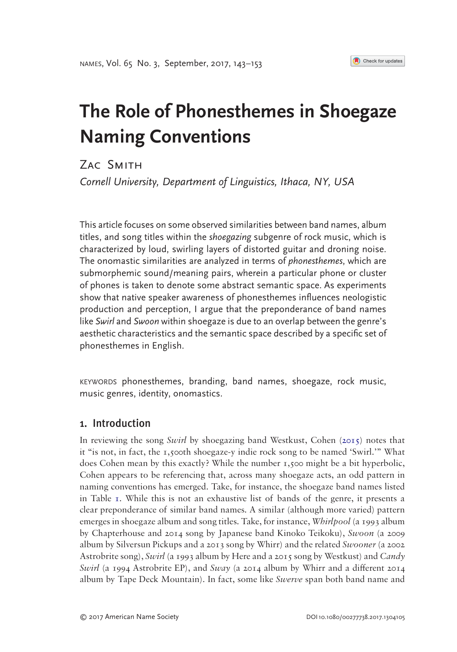#### <span id="page-0-0"></span>Check for updates

# **The Role of Phonesthemes in Shoegaze Naming Conventions**

Zac Smith *Cornell University, Department of Linguistics, Ithaca, NY, USA*

This article focuses on some observed similarities between band names, album titles, and song titles within the *shoegazing* subgenre of rock music, which is characterized by loud, swirling layers of distorted guitar and droning noise. The onomastic similarities are analyzed in terms of *phonesthemes*, which are submorphemic sound/meaning pairs, wherein a particular phone or cluster of phones is taken to denote some abstract semantic space. As experiments show that native speaker awareness of phonesthemes influences neologistic production and perception, I argue that the preponderance of band names like *Swirl* and *Swoon* within shoegaze is due to an overlap between the genre's aesthetic characteristics and the semantic space described by a specific set of phonesthemes in English.

keywords phonesthemes, branding, band names, shoegaze, rock music, music genres, identity, onomastics.

## 1. Introduction

In reviewing the song *Swirl* by shoegazing band Westkust, Cohen [\(2015](#page-9-0)) notes that it "is not, in fact, the 1,500th shoegaze-y indie rock song to be named 'Swirl.'" What does Cohen mean by this exactly? While the number 1,500 might be a bit hyperbolic, Cohen appears to be referencing that, across many shoegaze acts, an odd pattern in naming conventions has emerged. Take, for instance, the shoegaze band names listed in Table [1.](#page-1-0) While this is not an exhaustive list of bands of the genre, it presents a clear preponderance of similar band names. A similar (although more varied) pattern emerges in shoegaze album and song titles. Take, for instance, *Whirlpool* (a 1993 album by Chapterhouse and 2014 song by Japanese band Kinoko Teikoku), *Swoon* (a 2009 album by Silversun Pickups and a 2013 song by Whirr) and the related *Swooner* (a 2002 Astrobrite song), *Swirl* (a 1993 album by Here and a 2015 song by Westkust) and *Candy Swirl* (a 1994 Astrobrite EP), and *Sway* (a 2014 album by Whirr and a different 2014 album by Tape Deck Mountain). In fact, some like *Swerve* span both band name and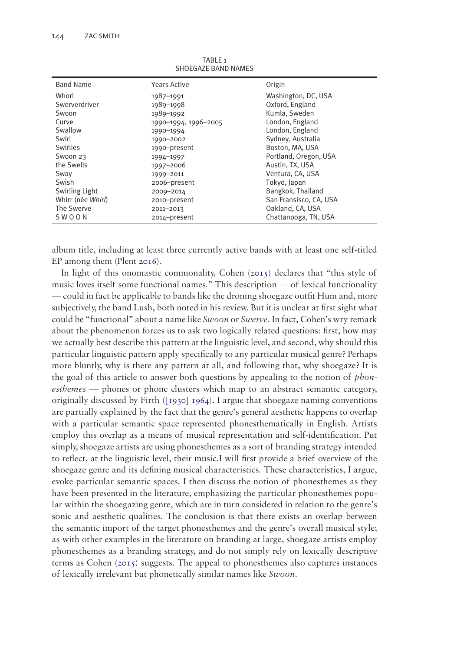| <b>Band Name</b>  | <b>Years Active</b>  | Origin                 |
|-------------------|----------------------|------------------------|
| Whorl             | 1987-1991            | Washington, DC, USA    |
| Swerverdriver     | 1989-1998            | Oxford, England        |
| Swoon             | 1989-1992            | Kumla, Sweden          |
| Curve             | 1990-1994, 1996-2005 | London, England        |
| Swallow           | 1990-1994            | London, England        |
| Swirl             | 1990-2002            | Sydney, Australia      |
| Swirlies          | 1990-present         | Boston, MA, USA        |
| Swoon 23          | 1994-1997            | Portland, Oregon, USA  |
| the Swells        | 1997-2006            | Austin, TX, USA        |
| Sway              | 1999-2011            | Ventura, CA, USA       |
| Swish             | 2006-present         | Tokyo, Japan           |
| Swirling Light    | 2009-2014            | Bangkok, Thailand      |
| Whirr (née Whirl) | 2010-present         | San Fransisco, CA, USA |
| The Swerve        | 2011-2013            | Oakland, CA, USA       |
| SWOON             | 2014-present         | Chattanooga, TN, USA   |

<span id="page-1-0"></span>TARI F<sub>1</sub> SHOEGAZE BAND NAMES

<span id="page-1-2"></span>album title, including at least three currently active bands with at least one self-titled EP among them (Plent [2016](#page-10-0)).

<span id="page-1-1"></span>In light of this onomastic commonality, Cohen [\(2015\)](#page-9-0) declares that "this style of music loves itself some functional names." This description — of lexical functionality — could in fact be applicable to bands like the droning shoegaze outfit Hum and, more subjectively, the band Lush, both noted in his review. But it is unclear at first sight what could be "functional" about a name like *Swoon* or *Swerve*. In fact, Cohen's wry remark about the phenomenon forces us to ask two logically related questions: first, how may we actually best describe this pattern at the linguistic level, and second, why should this particular linguistic pattern apply specifically to any particular musical genre? Perhaps more bluntly, why is there any pattern at all, and following that, why shoegaze? It is the goal of this article to answer both questions by appealing to the notion of *phonesthemes* — phones or phone clusters which map to an abstract semantic category, originally discussed by Firth  $(1930] 1964$ ). I argue that shoegaze naming conventions are partially explained by the fact that the genre's general aesthetic happens to overlap with a particular semantic space represented phonesthematically in English. Artists employ this overlap as a means of musical representation and self-identification. Put simply, shoegaze artists are using phonesthemes as a sort of branding strategy intended to reflect, at the linguistic level, their music.I will first provide a brief overview of the shoegaze genre and its defining musical characteristics. These characteristics, I argue, evoke particular semantic spaces. I then discuss the notion of phonesthemes as they have been presented in the literature, emphasizing the particular phonesthemes popular within the shoegazing genre, which are in turn considered in relation to the genre's sonic and aesthetic qualities. The conclusion is that there exists an overlap between the semantic import of the target phonesthemes and the genre's overall musical style; as with other examples in the literature on branding at large, shoegaze artists employ phonesthemes as a branding strategy, and do not simply rely on lexically descriptive terms as Cohen ([2015](#page-9-0)) suggests. The appeal to phonesthemes also captures instances of lexically irrelevant but phonetically similar names like *Swoon*.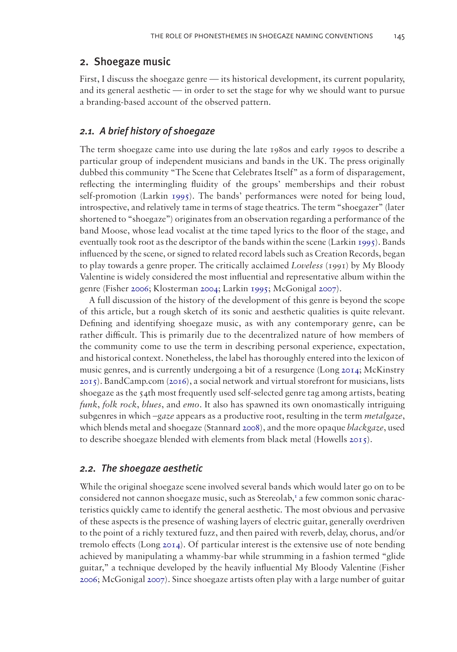### 2. Shoegaze music

First, I discuss the shoegaze genre — its historical development, its current popularity, and its general aesthetic — in order to set the stage for why we should want to pursue a branding-based account of the observed pattern.

## *2.1. A brief history of shoegaze*

<span id="page-2-4"></span>The term shoegaze came into use during the late 1980s and early 1990s to describe a particular group of independent musicians and bands in the UK. The press originally dubbed this community "The Scene that Celebrates Itself" as a form of disparagement, reflecting the intermingling fluidity of the groups' memberships and their robust self-promotion (Larkin [1995](#page-10-1)). The bands' performances were noted for being loud, introspective, and relatively tame in terms of stage theatrics. The term "shoegazer" (later shortened to "shoegaze") originates from an observation regarding a performance of the band Moose, whose lead vocalist at the time taped lyrics to the floor of the stage, and eventually took root as the descriptor of the bands within the scene (Larkin [1995](#page-10-1)). Bands influenced by the scene, or signed to related record labels such as Creation Records, began to play towards a genre proper. The critically acclaimed *Loveless* (1991) by My Bloody Valentine is widely considered the most influential and representative album within the genre (Fisher [2006;](#page-9-2) Klosterman [2004](#page-10-2); Larkin [1995;](#page-10-1) McGonigal [2007](#page-10-3)).

<span id="page-2-7"></span><span id="page-2-6"></span><span id="page-2-5"></span><span id="page-2-3"></span><span id="page-2-1"></span><span id="page-2-0"></span>A full discussion of the history of the development of this genre is beyond the scope of this article, but a rough sketch of its sonic and aesthetic qualities is quite relevant. Defining and identifying shoegaze music, as with any contemporary genre, can be rather difficult. This is primarily due to the decentralized nature of how members of the community come to use the term in describing personal experience, expectation, and historical context. Nonetheless, the label has thoroughly entered into the lexicon of music genres, and is currently undergoing a bit of a resurgence (Long [2014;](#page-10-4) McKinstry [2015\)](#page-10-5). BandCamp.com ([2016](#page-9-3)), a social network and virtual storefront for musicians, lists shoegaze as the 54th most frequently used self-selected genre tag among artists, beating *funk*, *folk rock*, *blues*, and *emo*. It also has spawned its own onomastically intriguing subgenres in which –*gaze* appears as a productive root, resulting in the term *metalgaze*, which blends metal and shoegaze (Stannard [2008\)](#page-10-6), and the more opaque *blackgaze*, used to describe shoegaze blended with elements from black metal (Howells [2015](#page-9-4)).

#### <span id="page-2-8"></span><span id="page-2-2"></span>*2.2. The shoegaze aesthetic*

While the original shoegaze scene involved several bands which would later go on to be considered not cannon shoegaze music, such as Stereolab,<sup>[1](#page-9-5)</sup> a few common sonic characteristics quickly came to identify the general aesthetic. The most obvious and pervasive of these aspects is the presence of washing layers of electric guitar, generally overdriven to the point of a richly textured fuzz, and then paired with reverb, delay, chorus, and/or tremolo effects (Long [2014\)](#page-10-4). Of particular interest is the extensive use of note bending achieved by manipulating a whammy-bar while strumming in a fashion termed "glide guitar," a technique developed by the heavily influential My Bloody Valentine (Fisher [2006](#page-9-2); McGonigal [2007\)](#page-10-3). Since shoegaze artists often play with a large number of guitar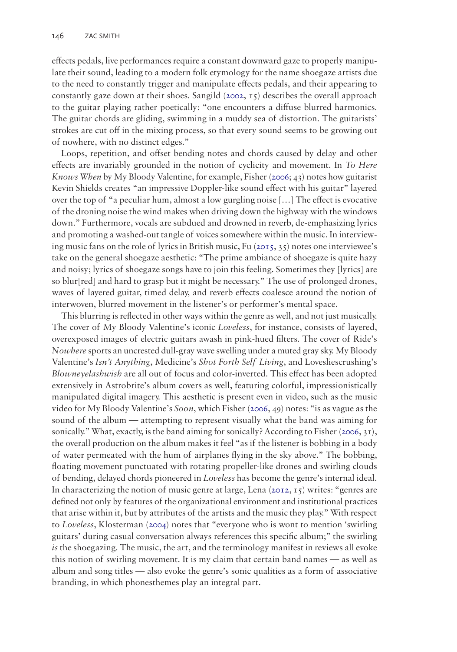<span id="page-3-2"></span>effects pedals, live performances require a constant downward gaze to properly manipulate their sound, leading to a modern folk etymology for the name shoegaze artists due to the need to constantly trigger and manipulate effects pedals, and their appearing to constantly gaze down at their shoes. Sangild  $(2002, 15)$  $(2002, 15)$  $(2002, 15)$  describes the overall approach to the guitar playing rather poetically: "one encounters a diffuse blurred harmonics. The guitar chords are gliding, swimming in a muddy sea of distortion. The guitarists' strokes are cut off in the mixing process, so that every sound seems to be growing out of nowhere, with no distinct edges."

Loops, repetition, and offset bending notes and chords caused by delay and other effects are invariably grounded in the notion of cyclicity and movement. In *To Here Knows When* by My Bloody Valentine, for example, Fisher [\(2006](#page-9-2); 43) notes how guitarist Kevin Shields creates "an impressive Doppler-like sound effect with his guitar" layered over the top of "a peculiar hum, almost a low gurgling noise […] The effect is evocative of the droning noise the wind makes when driving down the highway with the windows down." Furthermore, vocals are subdued and drowned in reverb, de-emphasizing lyrics and promoting a washed-out tangle of voices somewhere within the music. In interviewing music fans on the role of lyrics in British music, Fu  $(2015, 35)$  $(2015, 35)$  $(2015, 35)$  notes one interviewee's take on the general shoegaze aesthetic: "The prime ambiance of shoegaze is quite hazy and noisy; lyrics of shoegaze songs have to join this feeling. Sometimes they [lyrics] are so blur[red] and hard to grasp but it might be necessary." The use of prolonged drones, waves of layered guitar, timed delay, and reverb effects coalesce around the notion of interwoven, blurred movement in the listener's or performer's mental space.

<span id="page-3-1"></span><span id="page-3-0"></span>This blurring is reflected in other ways within the genre as well, and not just musically. The cover of My Bloody Valentine's iconic *Loveless*, for instance, consists of layered, overexposed images of electric guitars awash in pink-hued filters. The cover of Ride's *Nowhere* sports an uncrested dull-gray wave swelling under a muted gray sky. My Bloody Valentine's *Isn't Anything*, Medicine's *Shot Forth Self Living*, and Lovesliescrushing's *Blowneyelashwish* are all out of focus and color-inverted. This effect has been adopted extensively in Astrobrite's album covers as well, featuring colorful, impressionistically manipulated digital imagery. This aesthetic is present even in video, such as the music video for My Bloody Valentine's *Soon*, which Fisher [\(2006](#page-9-2), 49) notes: "is as vague as the sound of the album — attempting to represent visually what the band was aiming for sonically." What, exactly, is the band aiming for sonically? According to Fisher ([2006,](#page-9-2) 31), the overall production on the album makes it feel "as if the listener is bobbing in a body of water permeated with the hum of airplanes flying in the sky above." The bobbing, floating movement punctuated with rotating propeller-like drones and swirling clouds of bending, delayed chords pioneered in *Loveless* has become the genre's internal ideal. In characterizing the notion of music genre at large, Lena ([2012](#page-10-8),  $15$ ) writes: "genres are defined not only by features of the organizational environment and institutional practices that arise within it, but by attributes of the artists and the music they play." With respect to *Loveless*, Klosterman [\(2004\)](#page-10-2) notes that "everyone who is wont to mention 'swirling guitars' during casual conversation always references this specific album;" the swirling *is* the shoegazing. The music, the art, and the terminology manifest in reviews all evoke this notion of swirling movement. It is my claim that certain band names — as well as album and song titles — also evoke the genre's sonic qualities as a form of associative branding, in which phonesthemes play an integral part.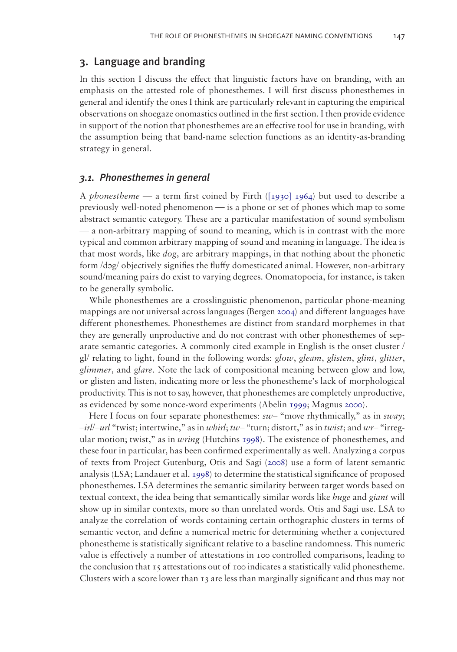# 3. Language and branding

In this section I discuss the effect that linguistic factors have on branding, with an emphasis on the attested role of phonesthemes. I will first discuss phonesthemes in general and identify the ones I think are particularly relevant in capturing the empirical observations on shoegaze onomastics outlined in the first section. I then provide evidence in support of the notion that phonesthemes are an effective tool for use in branding, with the assumption being that band-name selection functions as an identity-as-branding strategy in general.

#### *3.1. Phonesthemes in general*

A *phonestheme* — a term first coined by Firth [\(\[1930\] 1964\)](#page-9-1) but used to describe a previously well-noted phenomenon — is a phone or set of phones which map to some abstract semantic category. These are a particular manifestation of sound symbolism — a non-arbitrary mapping of sound to meaning, which is in contrast with the more typical and common arbitrary mapping of sound and meaning in language. The idea is that most words, like *dog*, are arbitrary mappings, in that nothing about the phonetic form /dɔg/ objectively signifies the fluffy domesticated animal. However, non-arbitrary sound/meaning pairs do exist to varying degrees. Onomatopoeia, for instance, is taken to be generally symbolic.

<span id="page-4-1"></span>While phonesthemes are a crosslinguistic phenomenon, particular phone-meaning mappings are not universal across languages (Bergen [2004](#page-9-7)) and different languages have different phonesthemes. Phonesthemes are distinct from standard morphemes in that they are generally unproductive and do not contrast with other phonesthemes of separate semantic categories. A commonly cited example in English is the onset cluster / gl/ relating to light, found in the following words: *glow*, *gleam*, *glisten*, *glint*, *glitter*, *glimmer*, and *glare*. Note the lack of compositional meaning between glow and low, or glisten and listen, indicating more or less the phonestheme's lack of morphological productivity. This is not to say, however, that phonesthemes are completely unproductive, as evidenced by some nonce-word experiments (Abelin [1999](#page-9-8); Magnus [2000](#page-10-9)).

<span id="page-4-5"></span><span id="page-4-4"></span><span id="page-4-3"></span><span id="page-4-2"></span><span id="page-4-0"></span>Here I focus on four separate phonesthemes:  $sw-$  "move rhythmically," as in *sway*; –*irl/*–*url* "twist; intertwine," as in *whirl*; *tw*– "turn; distort," as in *twist*; and *wr*– "irregular motion; twist," as in *wring* (Hutchins [1998](#page-9-9)). The existence of phonesthemes, and these four in particular, has been confirmed experimentally as well. Analyzing a corpus of texts from Project Gutenburg, Otis and Sagi ([2008\)](#page-10-10) use a form of latent semantic analysis (LSA; Landauer et al. [1998](#page-10-11)) to determine the statistical significance of proposed phonesthemes. LSA determines the semantic similarity between target words based on textual context, the idea being that semantically similar words like *huge* and *giant* will show up in similar contexts, more so than unrelated words. Otis and Sagi use. LSA to analyze the correlation of words containing certain orthographic clusters in terms of semantic vector, and define a numerical metric for determining whether a conjectured phonestheme is statistically significant relative to a baseline randomness. This numeric value is effectively a number of attestations in 100 controlled comparisons, leading to the conclusion that 15 attestations out of 100 indicates a statistically valid phonestheme. Clusters with a score lower than  $\tau_3$  are less than marginally significant and thus may not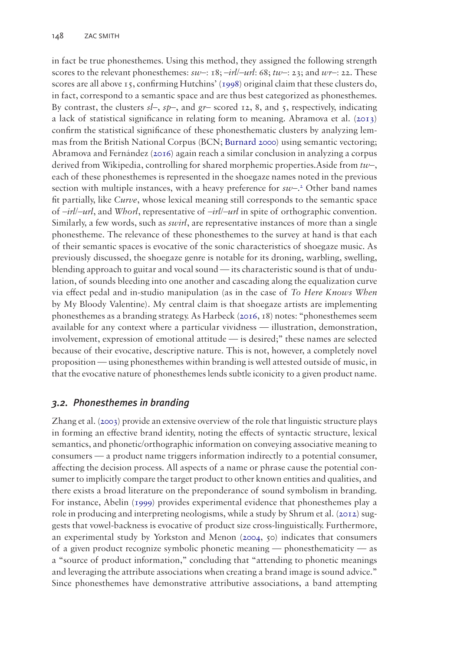<span id="page-5-2"></span><span id="page-5-1"></span><span id="page-5-0"></span>in fact be true phonesthemes. Using this method, they assigned the following strength scores to the relevant phonesthemes:  $sw$ –: 18;  $-irl$ / $-url$ : 68;  $tw$ –: 23; and  $wr$ –: 22. These scores are all above 15, confirming Hutchins' [\(1998](#page-9-9)) original claim that these clusters do, in fact, correspond to a semantic space and are thus best categorized as phonesthemes. By contrast, the clusters  $s\prime$ –,  $sp$ –, and  $gr$ – scored 12, 8, and 5, respectively, indicating a lack of statistical significance in relating form to meaning. Abramova et al. ([2013](#page-9-10)) confirm the statistical significance of these phonesthematic clusters by analyzing lemmas from the British National Corpus (BCN; [Burnard 2000](#page-9-11)) using semantic vectoring; Abramova and Fernández [\(2016\)](#page-9-12) again reach a similar conclusion in analyzing a corpus derived from Wikipedia, controlling for shared morphemic properties.Aside from *tw*–, each of these phonesthemes is represented in the shoegaze names noted in the previous section with multiple instances, with a heavy preference for  $sw$ -<sup>[2](#page-9-13)</sup> Other band names fit partially, like *Curve*, whose lexical meaning still corresponds to the semantic space of –*irl/*–*url*, and *Whorl*, representative of –*irl/*–*url* in spite of orthographic convention. Similarly, a few words, such as *swirl*, are representative instances of more than a single phonestheme. The relevance of these phonesthemes to the survey at hand is that each of their semantic spaces is evocative of the sonic characteristics of shoegaze music. As previously discussed, the shoegaze genre is notable for its droning, warbling, swelling, blending approach to guitar and vocal sound — its characteristic sound is that of undulation, of sounds bleeding into one another and cascading along the equalization curve via effect pedal and in-studio manipulation (as in the case of *To Here Knows When* by My Bloody Valentine). My central claim is that shoegaze artists are implementing phonesthemes as a branding strategy. As Harbeck ([2016,](#page-9-14) 18) notes: "phonesthemes seem available for any context where a particular vividness — illustration, demonstration, involvement, expression of emotional attitude — is desired;" these names are selected because of their evocative, descriptive nature. This is not, however, a completely novel proposition — using phonesthemes within branding is well attested outside of music, in that the evocative nature of phonesthemes lends subtle iconicity to a given product name.

## <span id="page-5-3"></span>*3.2. Phonesthemes in branding*

<span id="page-5-6"></span><span id="page-5-5"></span><span id="page-5-4"></span>Zhang et al. [\(2003\)](#page-10-12) provide an extensive overview of the role that linguistic structure plays in forming an effective brand identity, noting the effects of syntactic structure, lexical semantics, and phonetic/orthographic information on conveying associative meaning to consumers — a product name triggers information indirectly to a potential consumer, affecting the decision process. All aspects of a name or phrase cause the potential consumer to implicitly compare the target product to other known entities and qualities, and there exists a broad literature on the preponderance of sound symbolism in branding. For instance, Abelin [\(1999](#page-9-8)) provides experimental evidence that phonesthemes play a role in producing and interpreting neologisms, while a study by Shrum et al. ([2012](#page-10-13)) suggests that vowel-backness is evocative of product size cross-linguistically. Furthermore, an experimental study by Yorkston and Menon ([2004](#page-10-14), 50) indicates that consumers of a given product recognize symbolic phonetic meaning — phonesthematicity — as a "source of product information," concluding that "attending to phonetic meanings and leveraging the attribute associations when creating a brand image is sound advice." Since phonesthemes have demonstrative attributive associations, a band attempting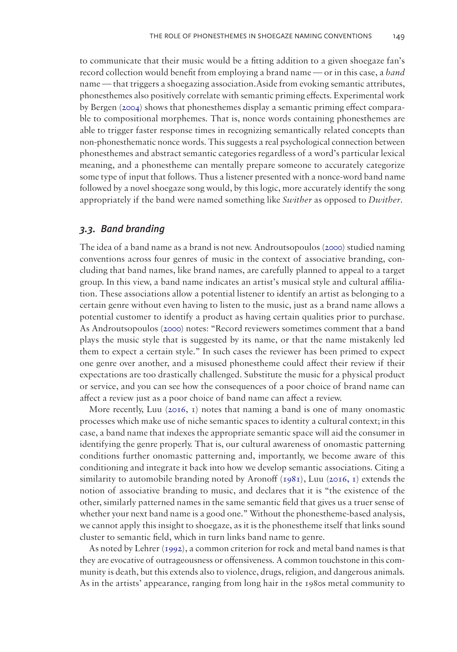to communicate that their music would be a fitting addition to a given shoegaze fan's record collection would benefit from employing a brand name — or in this case, a *band* name — that triggers a shoegazing association.Aside from evoking semantic attributes, phonesthemes also positively correlate with semantic priming effects. Experimental work by Bergen ([2004\)](#page-9-7) shows that phonesthemes display a semantic priming effect comparable to compositional morphemes. That is, nonce words containing phonesthemes are able to trigger faster response times in recognizing semantically related concepts than non-phonesthematic nonce words. This suggests a real psychological connection between phonesthemes and abstract semantic categories regardless of a word's particular lexical meaning, and a phonestheme can mentally prepare someone to accurately categorize some type of input that follows. Thus a listener presented with a nonce-word band name followed by a novel shoegaze song would, by this logic, more accurately identify the song appropriately if the band were named something like *Swither* as opposed to *Dwither*.

#### *3.3. Band branding*

<span id="page-6-0"></span>The idea of a band name as a brand is not new. Androutsopoulos ([2000\)](#page-9-15) studied naming conventions across four genres of music in the context of associative branding, concluding that band names, like brand names, are carefully planned to appeal to a target group. In this view, a band name indicates an artist's musical style and cultural affiliation. These associations allow a potential listener to identify an artist as belonging to a certain genre without even having to listen to the music, just as a brand name allows a potential customer to identify a product as having certain qualities prior to purchase. As Androutsopoulos [\(2000](#page-9-15)) notes: "Record reviewers sometimes comment that a band plays the music style that is suggested by its name, or that the name mistakenly led them to expect a certain style." In such cases the reviewer has been primed to expect one genre over another, and a misused phonestheme could affect their review if their expectations are too drastically challenged. Substitute the music for a physical product or service, and you can see how the consequences of a poor choice of brand name can affect a review just as a poor choice of band name can affect a review.

<span id="page-6-3"></span><span id="page-6-1"></span>More recently, Luu [\(2016](#page-10-15), 1) notes that naming a band is one of many onomastic processes which make use of niche semantic spaces to identity a cultural context; in this case, a band name that indexes the appropriate semantic space will aid the consumer in identifying the genre properly. That is, our cultural awareness of onomastic patterning conditions further onomastic patterning and, importantly, we become aware of this conditioning and integrate it back into how we develop semantic associations. Citing a similarity to automobile branding noted by Aronoff [\(1981](#page-9-16)), Luu [\(2016, 1\)](#page-10-15) extends the notion of associative branding to music, and declares that it is "the existence of the other, similarly patterned names in the same semantic field that gives us a truer sense of whether your next band name is a good one." Without the phonestheme-based analysis, we cannot apply this insight to shoegaze, as it is the phonestheme itself that links sound cluster to semantic field, which in turn links band name to genre.

<span id="page-6-2"></span>As noted by Lehrer [\(1992\)](#page-10-16), a common criterion for rock and metal band names is that they are evocative of outrageousness or offensiveness. A common touchstone in this community is death, but this extends also to violence, drugs, religion, and dangerous animals. As in the artists' appearance, ranging from long hair in the 1980s metal community to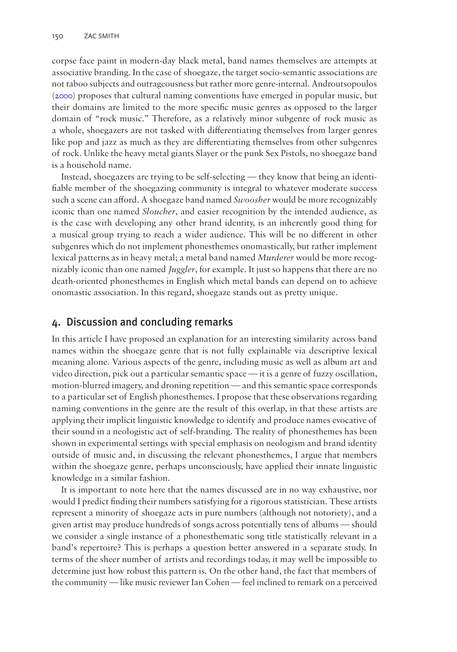corpse face paint in modern-day black metal, band names themselves are attempts at associative branding. In the case of shoegaze, the target socio-semantic associations are not taboo subjects and outrageousness but rather more genre-internal. Androutsopoulos [\(2000](#page-9-15)) proposes that cultural naming conventions have emerged in popular music, but their domains are limited to the more specific music genres as opposed to the larger domain of "rock music." Therefore, as a relatively minor subgenre of rock music as a whole, shoegazers are not tasked with differentiating themselves from larger genres like pop and jazz as much as they are differentiating themselves from other subgenres of rock. Unlike the heavy metal giants Slayer or the punk Sex Pistols, no shoegaze band is a household name.

Instead, shoegazers are trying to be self-selecting — they know that being an identifiable member of the shoegazing community is integral to whatever moderate success such a scene can afford. A shoegaze band named *Swoosher* would be more recognizably iconic than one named *Sloucher*, and easier recognition by the intended audience, as is the case with developing any other brand identity, is an inherently good thing for a musical group trying to reach a wider audience. This will be no different in other subgenres which do not implement phonesthemes onomastically, but rather implement lexical patterns as in heavy metal; a metal band named *Murderer* would be more recognizably iconic than one named *Juggler*, for example. It just so happens that there are no death-oriented phonesthemes in English which metal bands can depend on to achieve onomastic association. In this regard, shoegaze stands out as pretty unique.

## 4. Discussion and concluding remarks

In this article I have proposed an explanation for an interesting similarity across band names within the shoegaze genre that is not fully explainable via descriptive lexical meaning alone. Various aspects of the genre, including music as well as album art and video direction, pick out a particular semantic space — it is a genre of fuzzy oscillation, motion-blurred imagery, and droning repetition — and this semantic space corresponds to a particular set of English phonesthemes. I propose that these observations regarding naming conventions in the genre are the result of this overlap, in that these artists are applying their implicit linguistic knowledge to identify and produce names evocative of their sound in a neologistic act of self-branding. The reality of phonesthemes has been shown in experimental settings with special emphasis on neologism and brand identity outside of music and, in discussing the relevant phonesthemes, I argue that members within the shoegaze genre, perhaps unconsciously, have applied their innate linguistic knowledge in a similar fashion.

It is important to note here that the names discussed are in no way exhaustive, nor would I predict finding their numbers satisfying for a rigorous statistician. These artists represent a minority of shoegaze acts in pure numbers (although not notoriety), and a given artist may produce hundreds of songs across potentially tens of albums — should we consider a single instance of a phonesthematic song title statistically relevant in a band's repertoire? This is perhaps a question better answered in a separate study. In terms of the sheer number of artists and recordings today, it may well be impossible to determine just how robust this pattern is. On the other hand, the fact that members of the community — like music reviewer Ian Cohen — feel inclined to remark on a perceived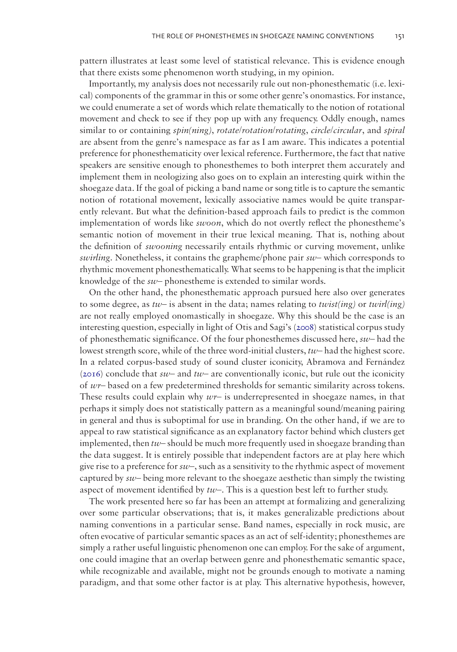pattern illustrates at least some level of statistical relevance. This is evidence enough that there exists some phenomenon worth studying, in my opinion.

Importantly, my analysis does not necessarily rule out non-phonesthematic (i.e. lexical) components of the grammar in this or some other genre's onomastics. For instance, we could enumerate a set of words which relate thematically to the notion of rotational movement and check to see if they pop up with any frequency. Oddly enough, names similar to or containing *spin(ning)*, *rotate/rotation/rotating*, *circle/circular*, and *spiral* are absent from the genre's namespace as far as I am aware. This indicates a potential preference for phonesthematicity over lexical reference. Furthermore, the fact that native speakers are sensitive enough to phonesthemes to both interpret them accurately and implement them in neologizing also goes on to explain an interesting quirk within the shoegaze data. If the goal of picking a band name or song title is to capture the semantic notion of rotational movement, lexically associative names would be quite transparently relevant. But what the definition-based approach fails to predict is the common implementation of words like *swoon*, which do not overtly reflect the phonestheme's semantic notion of movement in their true lexical meaning. That is, nothing about the definition of *swooning* necessarily entails rhythmic or curving movement, unlike *swirling*. Nonetheless, it contains the grapheme/phone pair *sw*– which corresponds to rhythmic movement phonesthematically. What seems to be happening is that the implicit knowledge of the *sw*– phonestheme is extended to similar words.

On the other hand, the phonesthematic approach pursued here also over generates to some degree, as *tw*– is absent in the data; names relating to *twist(ing)* or *twirl(ing)* are not really employed onomastically in shoegaze. Why this should be the case is an interesting question, especially in light of Otis and Sagi's ([2008](#page-10-10)) statistical corpus study of phonesthematic significance. Of the four phonesthemes discussed here, *sw*– had the lowest strength score, while of the three word-initial clusters, *tw*– had the highest score. In a related corpus-based study of sound cluster iconicity, Abramova and Fernández [\(2016](#page-9-12)) conclude that *sw*– and *tw*– are conventionally iconic, but rule out the iconicity of *wr*– based on a few predetermined thresholds for semantic similarity across tokens. These results could explain why *wr*– is underrepresented in shoegaze names, in that perhaps it simply does not statistically pattern as a meaningful sound/meaning pairing in general and thus is suboptimal for use in branding. On the other hand, if we are to appeal to raw statistical significance as an explanatory factor behind which clusters get implemented, then *tw*– should be much more frequently used in shoegaze branding than the data suggest. It is entirely possible that independent factors are at play here which give rise to a preference for *sw*–, such as a sensitivity to the rhythmic aspect of movement captured by *sw*– being more relevant to the shoegaze aesthetic than simply the twisting aspect of movement identified by *tw*–*.* This is a question best left to further study.

The work presented here so far has been an attempt at formalizing and generalizing over some particular observations; that is, it makes generalizable predictions about naming conventions in a particular sense. Band names, especially in rock music, are often evocative of particular semantic spaces as an act of self-identity; phonesthemes are simply a rather useful linguistic phenomenon one can employ. For the sake of argument, one could imagine that an overlap between genre and phonesthematic semantic space, while recognizable and available, might not be grounds enough to motivate a naming paradigm, and that some other factor is at play. This alternative hypothesis, however,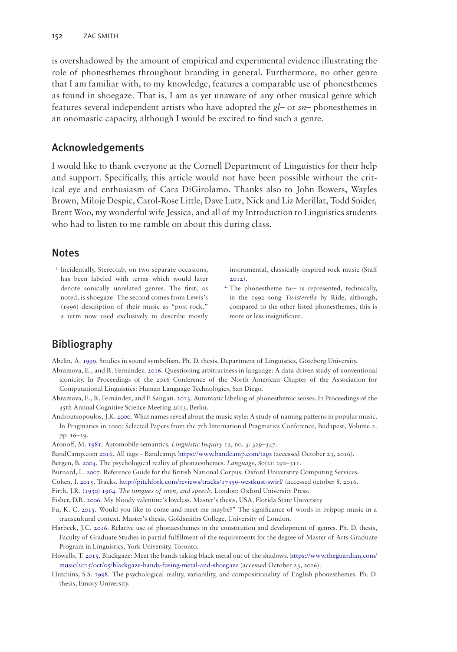is overshadowed by the amount of empirical and experimental evidence illustrating the role of phonesthemes throughout branding in general. Furthermore, no other genre that I am familiar with, to my knowledge, features a comparable use of phonesthemes as found in shoegaze. That is, I am as yet unaware of any other musical genre which features several independent artists who have adopted the *gl*– or *sn*– phonesthemes in an onomastic capacity, although I would be excited to find such a genre.

## Acknowledgements

I would like to thank everyone at the Cornell Department of Linguistics for their help and support. Specifically, this article would not have been possible without the critical eye and enthusiasm of Cara DiGirolamo. Thanks also to John Bowers, Wayles Brown, Miloje Despic, Carol-Rose Little, Dave Lutz, Nick and Liz Merillat, Todd Snider, Brent Woo, my wonderful wife Jessica, and all of my Introduction to Linguistics students who had to listen to me ramble on about this during class.

#### **Notes**

<span id="page-9-5"></span><sup>1.</sup> Incidentally, Stereolab, on two separate occasions, has been labeled with terms which would later denote sonically unrelated genres. The first, as noted, is shoegaze. The second comes from Lewis's (1996) description of their music as "post-rock," a term now used exclusively to describe mostly <span id="page-9-17"></span>instrumental, classically-inspired rock music (Staff [2012\)](#page-10-17).

<span id="page-9-13"></span><sup>2</sup>. The phonestheme  $tw-$  is represented, technically, in the 1992 song *Twisterella* by Ride, although, compared to the other listed phonesthemes, this is more or less insignificant.

# Bibliography

<span id="page-9-8"></span>Abelin, Å. [1999.](#page-4-0) Studies in sound symbolism. Ph. D. thesis, Department of Linguistics, Göteborg University.

- <span id="page-9-12"></span>Abramova, E., and R. Fernández. [2016.](#page-5-0) Questioning arbitrariness in language: A data-driven study of conventional iconicity. In Proceedings of the 2016 Conference of the North American Chapter of the Association for Computational Linguistics: Human Language Technologies, San Diego.
- <span id="page-9-10"></span>Abramova, E., R. Fernández, and F. Sangati. [2013](#page-5-1). Automatic labeling of phonesthemic senses. In Proceedings of the 35th Annual Cognitive Science Meeting 2013, Berlin.
- <span id="page-9-15"></span>Androutsopoulos, J.K. [2000.](#page-6-0) What names reveal about the music style: A study of naming patterns in popular music. In Pragmatics in 2000: Selected Papers from the 7th International Pragmatics Conference, Budapest, Volume 2. pp. 16–29.

<span id="page-9-16"></span>Aronoff, M. [1981](#page-6-1). Automobile semantics. *Linguistic Inquiry* 12, no. 3: 329–347.

<span id="page-9-3"></span>BandCamp.com [2016.](#page-2-0) All tags – Bandcamp.<https://www.bandcamp.com/tags>(accessed October 23, 2016).

<span id="page-9-7"></span>Bergen, B. [2004](#page-4-1). The psychological reality of phonaesthemes. *Language*, 80(2): 290–311.

<span id="page-9-11"></span>Burnard, L. [2007.](#page-5-2) Reference Guide for the British National Corpus. Oxford Universtity Computing Services.

<span id="page-9-0"></span>Cohen, I. [2015.](#page-0-0) Tracks. <http://pitchfork.com/reviews/tracks/17359-westkust-swirl/>(accessed october 8, 2016.

<span id="page-9-1"></span>Firth, J.R. [\(1930\) 1964](#page-1-1). *The tongues of men, and speech*. London: Oxford University Press.

<span id="page-9-2"></span>Fisher, D.R. [2006](#page-2-1). My bloody valentine's loveless. Master's thesis, USA, Florida State University

- <span id="page-9-6"></span>Fu, K.-C. [2015](#page-3-0). Would you like to come and meet me maybe?" The significance of words in britpop music in a transcultural context. Master's thesis, Goldsmiths College, University of London.
- <span id="page-9-14"></span>Harbeck, J.C. [2016.](#page-5-3) Relative use of phonaesthemes in the constitution and development of genres. Ph. D. thesis, Faculty of Graduate Studies in partial fulfillment of the requirements for the degree of Master of Arts Graduate Program in Linguistics, York University, Toronto.
- <span id="page-9-4"></span>Howells, T. [2015.](#page-2-2) Blackgaze: Meet the bands taking black metal out of the shadows. [https://www.theguardian.com/](https://www.theguardian.com/music/2015/oct/05/blackgaze-bands-fusing-metal-and-shoegaze) [music/2015/oct/05/blackgaze-bands-fusing-metal-and-shoegaze](https://www.theguardian.com/music/2015/oct/05/blackgaze-bands-fusing-metal-and-shoegaze) (accessed October 23, 2016).
- <span id="page-9-9"></span>Hutchins, S.S. [1998.](#page-4-2) The psychological reality, variability, and compositionality of English phonesthemes. Ph. D. thesis, Emory University.